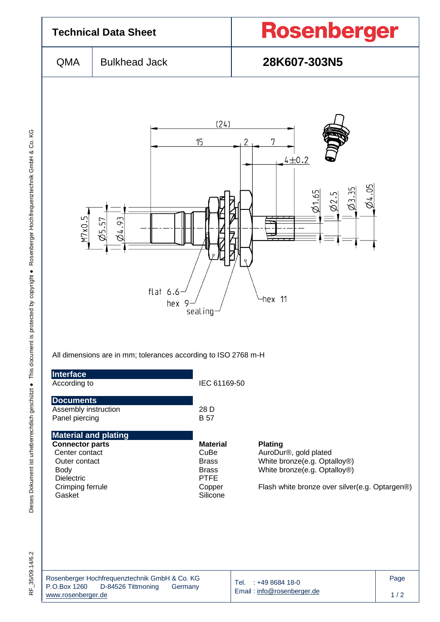

RF 35/09.14/6.2